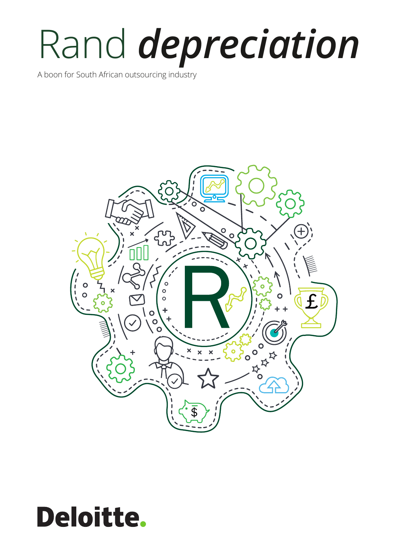# Rand *depreciation*

A boon for South African outsourcing industry



# **Deloitte.**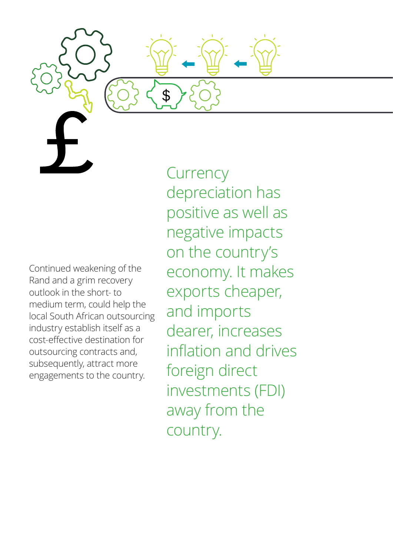Continued weakening of the Rand and a grim recovery outlook in the short- to medium term, could help the local South African outsourcing industry establish itself as a cost-effective destination for outsourcing contracts and, subsequently, attract more engagements to the country.

**Currency** depreciation has positive as well as negative impacts on the country's economy. It makes exports cheaper, and imports dearer, increases inflation and drives foreign direct investments (FDI) away from the country.

\$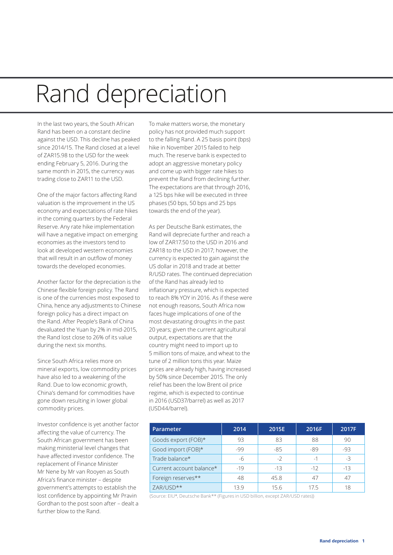### Rand depreciation

In the last two years, the South African Rand has been on a constant decline against the USD. This decline has peaked since 2014/15. The Rand closed at a level of ZAR15.98 to the USD for the week ending February 5, 2016. During the same month in 2015, the currency was trading close to ZAR11 to the USD.

One of the major factors affecting Rand valuation is the improvement in the US economy and expectations of rate hikes in the coming quarters by the Federal Reserve. Any rate hike implementation will have a negative impact on emerging economies as the investors tend to look at developed western economies that will result in an outflow of money towards the developed economies.

Another factor for the depreciation is the Chinese flexible foreign policy. The Rand is one of the currencies most exposed to China, hence any adjustments to Chinese foreign policy has a direct impact on the Rand. After People's Bank of China devaluated the Yuan by 2% in mid-2015, the Rand lost close to 26% of its value during the next six months.

Since South Africa relies more on mineral exports, low commodity prices have also led to a weakening of the Rand. Due to low economic growth, China's demand for commodities have gone down resulting in lower global commodity prices.

Investor confidence is yet another factor affecting the value of currency. The South African government has been making ministerial level changes that have affected investor confidence. The replacement of Finance Minister Mr Nene by Mr van Rooyen as South Africa's finance minister – despite government's attempts to establish the lost confidence by appointing Mr Pravin Gordhan to the post soon after – dealt a further blow to the Rand.

To make matters worse, the monetary policy has not provided much support to the falling Rand. A 25 basis point (bps) hike in November 2015 failed to help much. The reserve bank is expected to adopt an aggressive monetary policy and come up with bigger rate hikes to prevent the Rand from declining further. The expectations are that through 2016, a 125 bps hike will be executed in three phases (50 bps, 50 bps and 25 bps towards the end of the year).

As per Deutsche Bank estimates, the Rand will depreciate further and reach a low of ZAR17.50 to the USD in 2016 and ZAR18 to the USD in 2017; however, the currency is expected to gain against the US dollar in 2018 and trade at better R/USD rates. The continued depreciation of the Rand has already led to inflationary pressure, which is expected to reach 8% YOY in 2016. As if these were not enough reasons, South Africa now faces huge implications of one of the most devastating droughts in the past 20 years; given the current agricultural output, expectations are that the country might need to import up to 5 million tons of maize, and wheat to the tune of 2 million tons this year. Maize prices are already high, having increased by 50% since December 2015. The only relief has been the low Brent oil price regime, which is expected to continue in 2016 (USD37/barrel) as well as 2017 (USD44/barrel).

| Parameter                | 2014  | 2015E | 2016F | 2017F |
|--------------------------|-------|-------|-------|-------|
| Goods export (FOB)*      | 93    | 83    | 88    | 90    |
| Good import (FOB)*       | -99   | -85   | -89   | -93   |
| Trade balance*           | -6    | $-2$  | $-1$  | -3    |
| Current account balance* | $-19$ | $-13$ | $-12$ | -13   |
| Foreign reserves**       | 48    | 45.8  |       | 47    |
| ZAR/USD**                | 13 G  | 15.6  | 175   | 18    |

(Source: EIU\*, Deutsche Bank\*\* (Figures in USD billion, except ZAR/USD rates))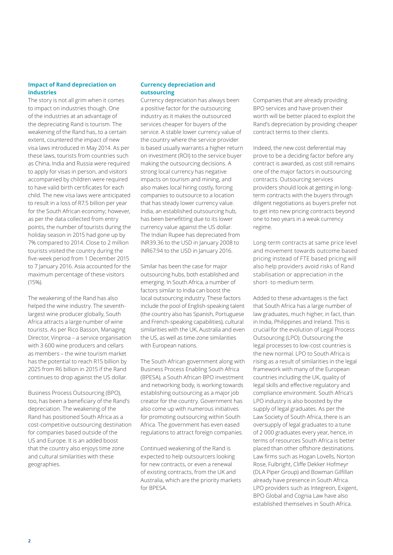#### **Impact of Rand depreciation on industries**

The story is not all grim when it comes to impact on industries though. One of the industries at an advantage of the depreciating Rand is tourism. The weakening of the Rand has, to a certain extent, countered the impact of new visa laws introduced in May 2014. As per these laws, tourists from countries such as China, India and Russia were required to apply for visas in person, and visitors accompanied by children were required to have valid birth certificates for each child. The new visa laws were anticipated to result in a loss of R7.5 billion per year for the South African economy; however, as per the data collected from entry points, the number of tourists during the holiday season in 2015 had gone up by 7% compared to 2014. Close to 2 million tourists visited the country during the five-week period from 1 December 2015 to 7 January 2016. Asia accounted for the maximum percentage of these visitors (15%).

The weakening of the Rand has also helped the wine industry. The seventhlargest wine producer globally, South Africa attracts a large number of wine tourists. As per Rico Basson, Managing Director, Vinproa – a service organisation with 3 600 wine producers and cellars as members – the wine tourism market has the potential to reach R15 billion by 2025 from R6 billion in 2015 if the Rand continues to drop against the US dollar.

Business Process Outsourcing (BPO), too, has been a beneficiary of the Rand's depreciation. The weakening of the Rand has positioned South Africa as a cost-competitive outsourcing destination for companies based outside of the US and Europe. It is an added boost that the country also enjoys time zone and cultural similarities with these geographies.

#### **Currency depreciation and outsourcing**

Currency depreciation has always been a positive factor for the outsourcing industry as it makes the outsourced services cheaper for buyers of the service. A stable lower currency value of the country where the service provider is based usually warrants a higher return on investment (ROI) to the service buyer making the outsourcing decisions. A strong local currency has negative impacts on tourism and mining, and also makes local hiring costly, forcing companies to outsource to a location that has steady lower currency value. India, an established outsourcing hub, has been benefitting due to its lower currency value against the US dollar. The Indian Rupee has depreciated from INR39.36 to the USD in January 2008 to INR67.94 to the USD in January 2016.

Similar has been the case for major outsourcing hubs, both established and emerging. In South Africa, a number of factors similar to India can boost the local outsourcing industry. These factors include the pool of English-speaking talent (the country also has Spanish, Portuguese and French-speaking capabilities), cultural similarities with the UK, Australia and even the US, as well as time-zone similarities with European nations.

The South African government along with Business Process Enabling South Africa (BPESA), a South African BPO investment and networking body, is working towards establishing outsourcing as a major job creator for the country. Government has also come up with numerous initiatives for promoting outsourcing within South Africa. The government has even eased regulations to attract foreign companies.

Continued weakening of the Rand is expected to help outsourcers looking for new contracts, or even a renewal of existing contracts, from the UK and Australia, which are the priority markets for BPESA.

Companies that are already providing BPO services and have proven their worth will be better placed to exploit the Rand's depreciation by providing cheaper contract terms to their clients.

Indeed, the new cost deferential may prove to be a deciding factor before any contract is awarded, as cost still remains one of the major factors in outsourcing contracts. Outsourcing services providers should look at getting in longterm contracts with the buyers through diligent negotiations as buyers prefer not to get into new pricing contracts beyond one to two years in a weak currency regime.

Long-term contracts at same price level and movement towards outcome based pricing instead of FTE based pricing will also help providers avoid risks of Rand stabilisation or appreciation in the short- to medium term.

Added to these advantages is the fact that South Africa has a large number of law graduates, much higher, in fact, than in India, Philippines and Ireland. This is crucial for the evolution of Legal Process Outsourcing (LPO). Outsourcing the legal processes to low-cost countries is the new normal. LPO to South Africa is rising as a result of similarities in the legal framework with many of the European countries including the UK, quality of legal skills and effective regulatory and compliance environment. South Africa's LPO industry is also boosted by the supply of legal graduates. As per the Law Society of South Africa, there is an oversupply of legal graduates to a tune of 2 000 graduates every year, hence, in terms of resources South Africa is better placed than other offshore destinations. Law firms such as Hogan Lovells, Norton Rose, Fulbright, Cliffe Dekker Hofmeyr (DLA Piper Group) and Bowman Gilfillan already have presence in South Africa. LPO providers such as Integreon, Exigent, BPO Global and Cognia Law have also established themselves in South Africa.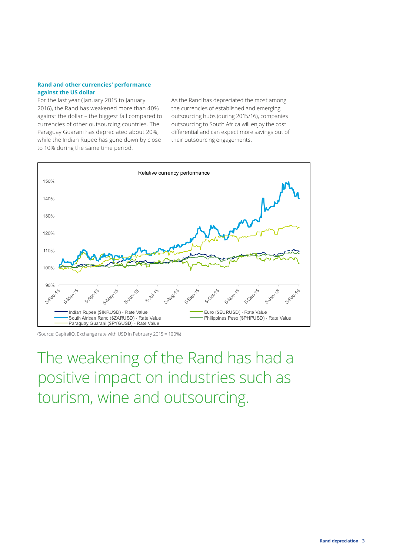#### **Rand and other currencies' performance against the US dollar**

For the last year (January 2015 to January 2016), the Rand has weakened more than 40% against the dollar – the biggest fall compared to currencies of other outsourcing countries. The Paraguay Guarani has depreciated about 20%, while the Indian Rupee has gone down by close to 10% during the same time period.

As the Rand has depreciated the most among the currencies of established and emerging outsourcing hubs (during 2015/16), companies outsourcing to South Africa will enjoy the cost differential and can expect more savings out of their outsourcing engagements.



<sup>(</sup>Source: CapitalIQ, Exchange rate with USD in February 2015 = 100%)

The weakening of the Rand has had a positive impact on industries such as tourism, wine and outsourcing.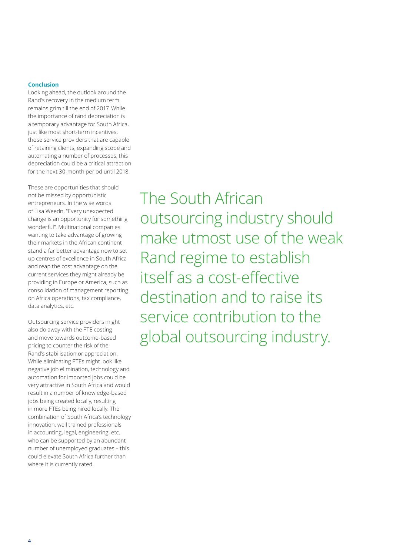#### **Conclusion**

Looking ahead, the outlook around the Rand's recovery in the medium term remains grim till the end of 2017. While the importance of rand depreciation is a temporary advantage for South Africa, just like most short-term incentives, those service providers that are capable of retaining clients, expanding scope and automating a number of processes, this depreciation could be a critical attraction for the next 30-month period until 2018.

These are opportunities that should not be missed by opportunistic entrepreneurs. In the wise words of Lisa Weedn, "Every unexpected change is an opportunity for something wonderful". Multinational companies wanting to take advantage of growing their markets in the African continent stand a far better advantage now to set up centres of excellence in South Africa and reap the cost advantage on the current services they might already be providing in Europe or America, such as consolidation of management reporting on Africa operations, tax compliance, data analytics, etc.

Outsourcing service providers might also do away with the FTE costing and move towards outcome-based pricing to counter the risk of the Rand's stabilisation or appreciation. While eliminating FTEs might look like negative job elimination, technology and automation for imported jobs could be very attractive in South Africa and would result in a number of knowledge-based jobs being created locally, resulting in more FTEs being hired locally. The combination of South Africa's technology innovation, well trained professionals in accounting, legal, engineering, etc. who can be supported by an abundant number of unemployed graduates – this could elevate South Africa further than where it is currently rated.

The South African outsourcing industry should make utmost use of the weak Rand regime to establish itself as a cost-effective destination and to raise its service contribution to the global outsourcing industry.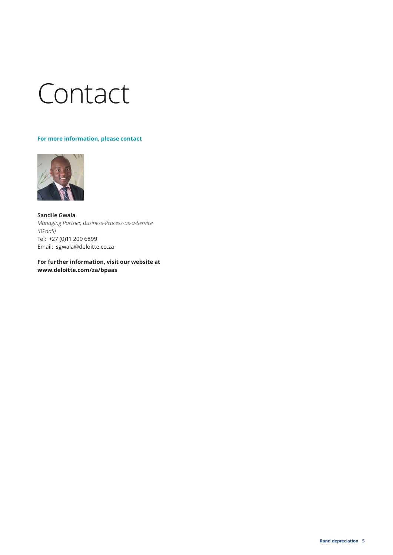## Contact

#### **For more information, please contact**



**Sandile Gwala** *Managing Partner, Business-Process-as-a-Service (BPaaS)*  Tel: +27 (0)11 209 6899 Email: sgwala@deloitte.co.za

**For further information, visit our website at www.deloitte.com/za/bpaas**